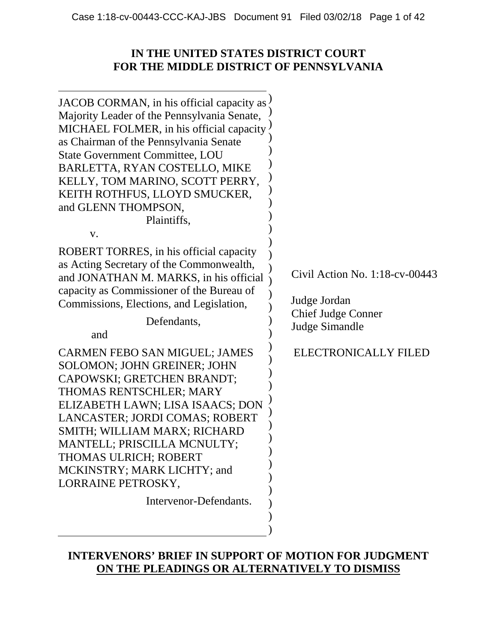## **IN THE UNITED STATES DISTRICT COURT FOR THE MIDDLE DISTRICT OF PENNSYLVANIA**

| JACOB CORMAN, in his official capacity as $\langle$<br>Majority Leader of the Pennsylvania Senate,<br>MICHAEL FOLMER, in his official capacity<br>as Chairman of the Pennsylvania Senate<br><b>State Government Committee, LOU</b><br>BARLETTA, RYAN COSTELLO, MIKE<br>KELLY, TOM MARINO, SCOTT PERRY,<br>KEITH ROTHFUS, LLOYD SMUCKER,<br>and GLENN THOMPSON,<br>Plaintiffs,<br>V.<br>ROBERT TORRES, in his official capacity<br>as Acting Secretary of the Commonwealth,<br>and JONATHAN M. MARKS, in his official<br>capacity as Commissioner of the Bureau of<br>Commissions, Elections, and Legislation,<br>Defendants,<br>and<br>CARMEN FEBO SAN MIGUEL; JAMES<br><b>SOLOMON; JOHN GREINER; JOHN</b><br>CAPOWSKI; GRETCHEN BRANDT;<br>THOMAS RENTSCHLER; MARY<br>ELIZABETH LAWN; LISA ISAACS; DON<br>LANCASTER; JORDI COMAS; ROBERT<br>SMITH; WILLIAM MARX; RICHARD<br>MANTELL; PRISCILLA MCNULTY;<br>THOMAS ULRICH; ROBERT<br>MCKINSTRY; MARK LICHTY; and<br>LORRAINE PETROSKY, | Civil Action No. $1:18$ -cv-00443<br>Judge Jordan<br><b>Chief Judge Conner</b><br><b>Judge Simandle</b><br>ELECTRONICALLY FILED |
|----------------------------------------------------------------------------------------------------------------------------------------------------------------------------------------------------------------------------------------------------------------------------------------------------------------------------------------------------------------------------------------------------------------------------------------------------------------------------------------------------------------------------------------------------------------------------------------------------------------------------------------------------------------------------------------------------------------------------------------------------------------------------------------------------------------------------------------------------------------------------------------------------------------------------------------------------------------------------------------|---------------------------------------------------------------------------------------------------------------------------------|
| Intervenor-Defendants.                                                                                                                                                                                                                                                                                                                                                                                                                                                                                                                                                                                                                                                                                                                                                                                                                                                                                                                                                                 |                                                                                                                                 |
|                                                                                                                                                                                                                                                                                                                                                                                                                                                                                                                                                                                                                                                                                                                                                                                                                                                                                                                                                                                        |                                                                                                                                 |

## **INTERVENORS' BRIEF IN SUPPORT OF MOTION FOR JUDGMENT ON THE PLEADINGS OR ALTERNATIVELY TO DISMISS**

)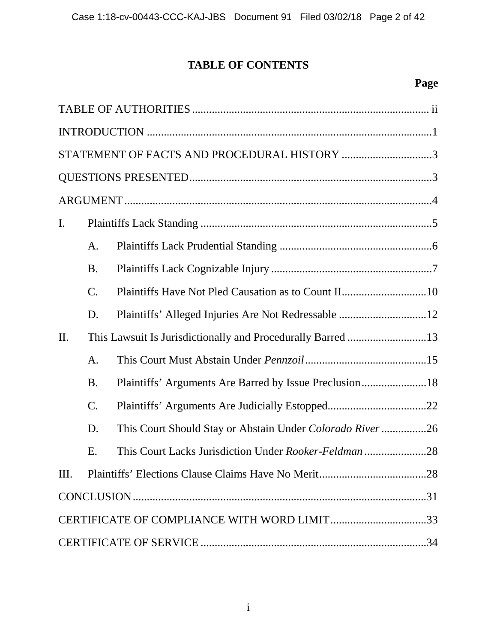# **TABLE OF CONTENTS**

# **Page**

|      |             | STATEMENT OF FACTS AND PROCEDURAL HISTORY 3              |
|------|-------------|----------------------------------------------------------|
|      |             |                                                          |
|      |             |                                                          |
| I.   |             |                                                          |
|      | A.          |                                                          |
|      | <b>B.</b>   |                                                          |
|      | $C_{\cdot}$ |                                                          |
|      | D.          | Plaintiffs' Alleged Injuries Are Not Redressable 12      |
| II.  |             |                                                          |
|      | A.          |                                                          |
|      | <b>B.</b>   | Plaintiffs' Arguments Are Barred by Issue Preclusion18   |
|      | $C$ .       |                                                          |
|      | D.          | This Court Should Stay or Abstain Under Colorado River26 |
|      | Ε.          | This Court Lacks Jurisdiction Under Rooker-Feldman 28    |
| III. |             |                                                          |
|      |             |                                                          |
|      |             |                                                          |
|      |             |                                                          |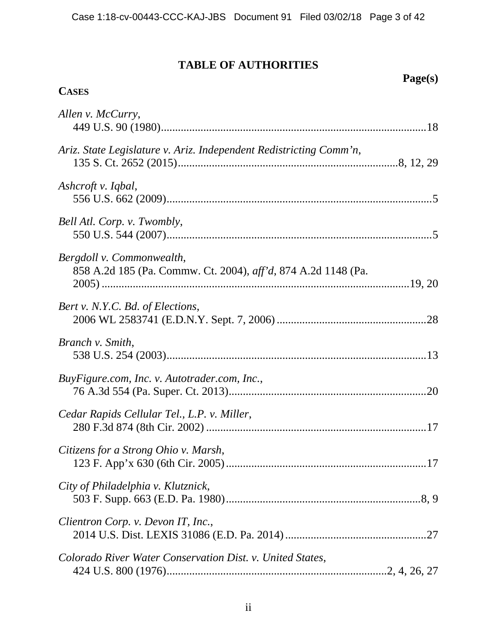### **TABLE OF AUTHORITIES**

**Page(s)** 

# **CASES** *Allen v. McCurry*, 449 U.S. 90 (1980) .............................................................................................. 18 *Ariz. State Legislature v. Ariz. Independent Redistricting Comm'n*, 135 S. Ct. 2652 (2015) .............................................................................. 8, 12, 29 *Ashcroft v. Iqbal*, 556 U.S. 662 (2009) .............................................................................................. 5 *Bell Atl. Corp. v. Twombly*, 550 U.S. 544 (2007) .............................................................................................. 5 *Bergdoll v. Commonwealth*, 858 A.2d 185 (Pa. Commw. Ct. 2004), *aff'd*, 874 A.2d 1148 (Pa. 2005) ............................................................................................................. 19, 20 *Bert v. N.Y.C. Bd. of Elections*, 2006 WL 2583741 (E.D.N.Y. Sept. 7, 2006) ..................................................... 28 *Branch v. Smith*, 538 U.S. 254 (2003) ............................................................................................ 13 *BuyFigure.com, Inc. v. Autotrader.com, Inc.*, 76 A.3d 554 (Pa. Super. Ct. 2013) ...................................................................... 20 *Cedar Rapids Cellular Tel., L.P. v. Miller*, 280 F.3d 874 (8th Cir. 2002) .............................................................................. 17 *Citizens for a Strong Ohio v. Marsh*, 123 F. App'x 630 (6th Cir. 2005) ....................................................................... 17 *City of Philadelphia v. Klutznick*, 503 F. Supp. 663 (E.D. Pa. 1980) ..................................................................... 8, 9 *Clientron Corp. v. Devon IT, Inc.*, 2014 U.S. Dist. LEXIS 31086 (E.D. Pa. 2014) .................................................. 27 *Colorado River Water Conservation Dist. v. United States*, 424 U.S. 800 (1976) .............................................................................. 2, 4, 26, 27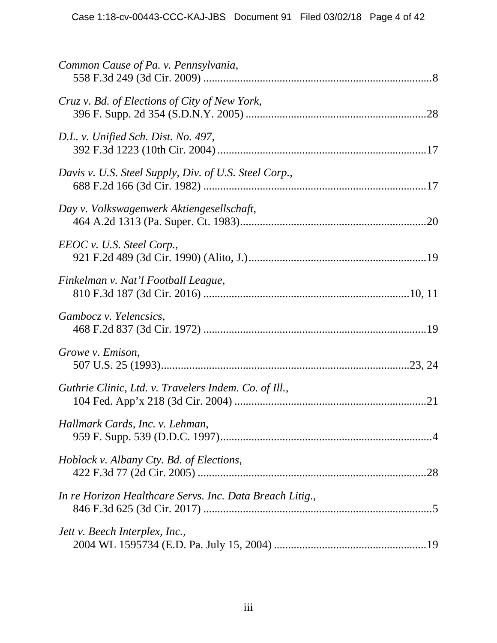| Common Cause of Pa. v. Pennsylvania,                     |
|----------------------------------------------------------|
| Cruz v. Bd. of Elections of City of New York,            |
| D.L. v. Unified Sch. Dist. No. 497,                      |
| Davis v. U.S. Steel Supply, Div. of U.S. Steel Corp.,    |
| Day v. Volkswagenwerk Aktiengesellschaft,                |
| EEOC v. U.S. Steel Corp.,                                |
| Finkelman v. Nat'l Football League,                      |
| Gambocz v. Yelencsics,                                   |
| Growe v. Emison,                                         |
| Guthrie Clinic, Ltd. v. Travelers Indem. Co. of Ill.,    |
| Hallmark Cards, Inc. v. Lehman,                          |
| Hoblock v. Albany Cty. Bd. of Elections,                 |
| In re Horizon Healthcare Servs. Inc. Data Breach Litig., |
| Jett v. Beech Interplex, Inc.,                           |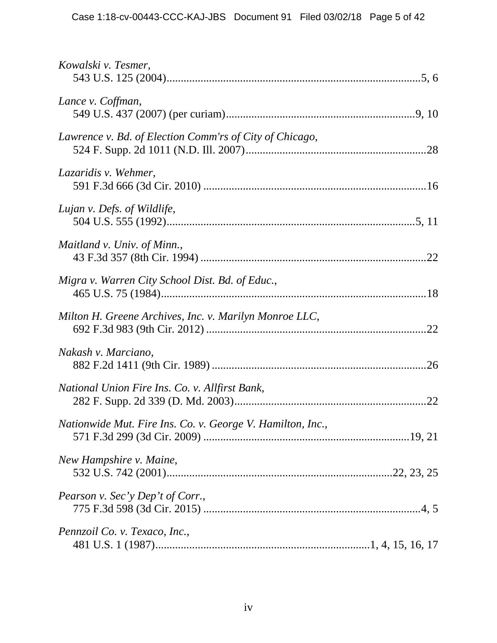| Kowalski v. Tesmer,                                        |
|------------------------------------------------------------|
| Lance v. Coffman,                                          |
| Lawrence v. Bd. of Election Comm'rs of City of Chicago,    |
| Lazaridis v. Wehmer,                                       |
| Lujan v. Defs. of Wildlife,                                |
| Maitland v. Univ. of Minn.,                                |
| Migra v. Warren City School Dist. Bd. of Educ.,            |
| Milton H. Greene Archives, Inc. v. Marilyn Monroe LLC,     |
| Nakash v. Marciano,                                        |
| National Union Fire Ins. Co. v. Allfirst Bank,             |
| Nationwide Mut. Fire Ins. Co. v. George V. Hamilton, Inc., |
| New Hampshire v. Maine,                                    |
| Pearson v. Sec'y Dep't of Corr.,                           |
| Pennzoil Co. v. Texaco, Inc.,                              |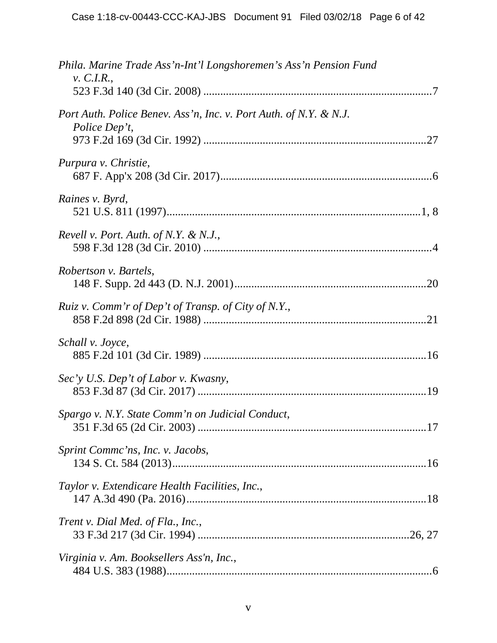| Phila. Marine Trade Ass'n-Int'l Longshoremen's Ass'n Pension Fund<br>$v.$ C.I.R.,  |
|------------------------------------------------------------------------------------|
|                                                                                    |
| Port Auth. Police Benev. Ass'n, Inc. v. Port Auth. of N.Y. & N.J.<br>Police Dep't, |
|                                                                                    |
| Purpura v. Christie,                                                               |
| Raines v. Byrd,                                                                    |
| Revell v. Port. Auth. of N.Y. & N.J.,                                              |
| Robertson v. Bartels,                                                              |
| Ruiz v. Comm'r of Dep't of Transp. of City of N.Y.,                                |
| Schall v. Joyce,                                                                   |
| Sec'y U.S. Dep't of Labor v. Kwasny,                                               |
| Spargo v. N.Y. State Comm'n on Judicial Conduct,                                   |
| Sprint Comme'ns, Inc. v. Jacobs,                                                   |
| Taylor v. Extendicare Health Facilities, Inc.,                                     |
| Trent v. Dial Med. of Fla., Inc.,                                                  |
| Virginia v. Am. Booksellers Ass'n, Inc.,                                           |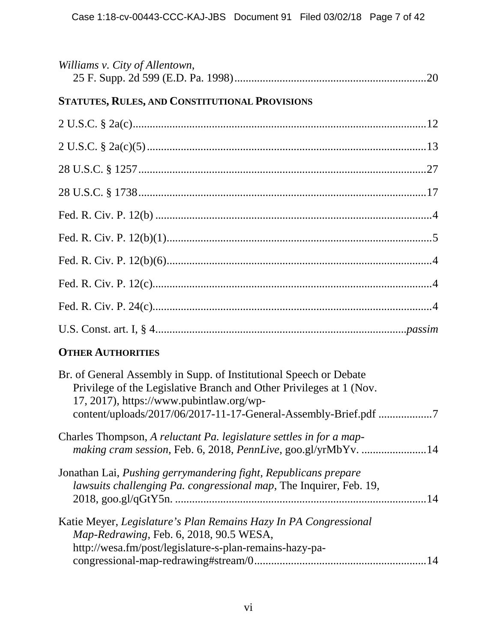| Williams v. City of Allentown,                 |  |
|------------------------------------------------|--|
| STATUTES, RULES, AND CONSTITUTIONAL PROVISIONS |  |
|                                                |  |
|                                                |  |
|                                                |  |
|                                                |  |
|                                                |  |
|                                                |  |
|                                                |  |
|                                                |  |
|                                                |  |
|                                                |  |
|                                                |  |

## **OTHER AUTHORITIES**

| Br. of General Assembly in Supp. of Institutional Speech or Debate<br>Privilege of the Legislative Branch and Other Privileges at 1 (Nov.<br>17, 2017), https://www.pubintlaw.org/wp- |
|---------------------------------------------------------------------------------------------------------------------------------------------------------------------------------------|
| Charles Thompson, A reluctant Pa. legislature settles in for a map-<br>making cram session, Feb. 6, 2018, PennLive, goo.gl/yrMbYv. 14                                                 |
| Jonathan Lai, Pushing gerrymandering fight, Republicans prepare<br>lawsuits challenging Pa. congressional map, The Inquirer, Feb. 19,                                                 |
| Katie Meyer, Legislature's Plan Remains Hazy In PA Congressional<br>Map-Redrawing, Feb. 6, 2018, 90.5 WESA,<br>http://wesa.fm/post/legislature-s-plan-remains-hazy-pa-<br>14          |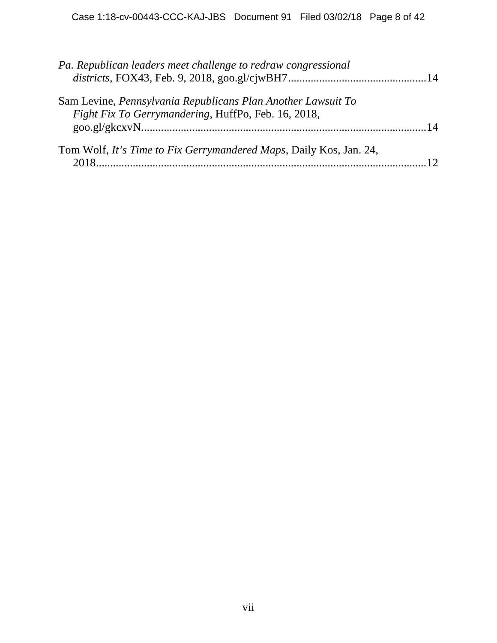| Pa. Republican leaders meet challenge to redraw congressional                                                       |  |
|---------------------------------------------------------------------------------------------------------------------|--|
| Sam Levine, Pennsylvania Republicans Plan Another Lawsuit To<br>Fight Fix To Gerrymandering, HuffPo, Feb. 16, 2018, |  |
|                                                                                                                     |  |
| Tom Wolf, It's Time to Fix Gerrymandered Maps, Daily Kos, Jan. 24,                                                  |  |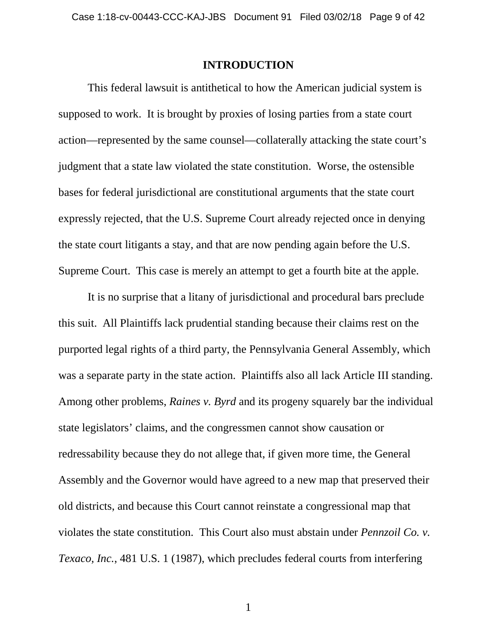#### **INTRODUCTION**

This federal lawsuit is antithetical to how the American judicial system is supposed to work. It is brought by proxies of losing parties from a state court action—represented by the same counsel—collaterally attacking the state court's judgment that a state law violated the state constitution. Worse, the ostensible bases for federal jurisdictional are constitutional arguments that the state court expressly rejected, that the U.S. Supreme Court already rejected once in denying the state court litigants a stay, and that are now pending again before the U.S. Supreme Court. This case is merely an attempt to get a fourth bite at the apple.

It is no surprise that a litany of jurisdictional and procedural bars preclude this suit. All Plaintiffs lack prudential standing because their claims rest on the purported legal rights of a third party, the Pennsylvania General Assembly, which was a separate party in the state action. Plaintiffs also all lack Article III standing. Among other problems, *Raines v. Byrd* and its progeny squarely bar the individual state legislators' claims, and the congressmen cannot show causation or redressability because they do not allege that, if given more time, the General Assembly and the Governor would have agreed to a new map that preserved their old districts, and because this Court cannot reinstate a congressional map that violates the state constitution. This Court also must abstain under *Pennzoil Co. v. Texaco, Inc.*, 481 U.S. 1 (1987), which precludes federal courts from interfering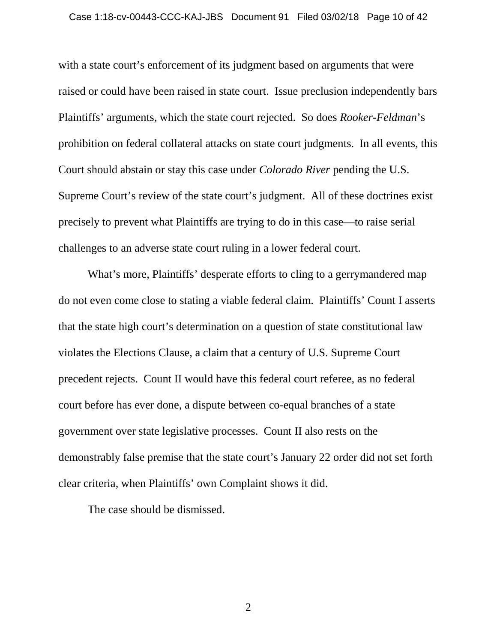with a state court's enforcement of its judgment based on arguments that were raised or could have been raised in state court. Issue preclusion independently bars Plaintiffs' arguments, which the state court rejected. So does *Rooker-Feldman*'s prohibition on federal collateral attacks on state court judgments. In all events, this Court should abstain or stay this case under *Colorado River* pending the U.S. Supreme Court's review of the state court's judgment. All of these doctrines exist precisely to prevent what Plaintiffs are trying to do in this case—to raise serial challenges to an adverse state court ruling in a lower federal court.

What's more, Plaintiffs' desperate efforts to cling to a gerrymandered map do not even come close to stating a viable federal claim. Plaintiffs' Count I asserts that the state high court's determination on a question of state constitutional law violates the Elections Clause, a claim that a century of U.S. Supreme Court precedent rejects. Count II would have this federal court referee, as no federal court before has ever done, a dispute between co-equal branches of a state government over state legislative processes. Count II also rests on the demonstrably false premise that the state court's January 22 order did not set forth clear criteria, when Plaintiffs' own Complaint shows it did.

The case should be dismissed.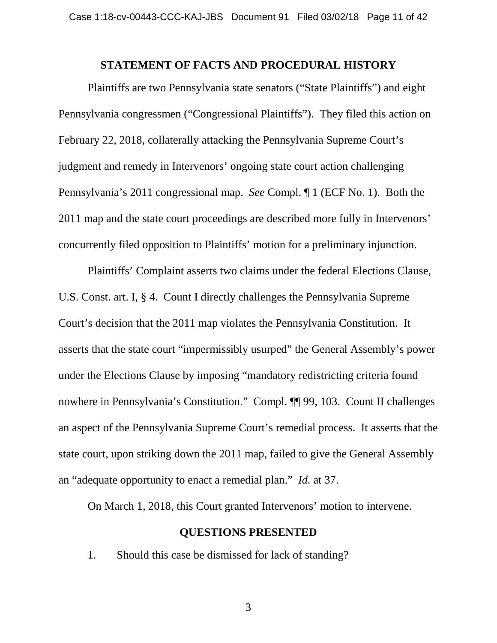#### **STATEMENT OF FACTS AND PROCEDURAL HISTORY**

Plaintiffs are two Pennsylvania state senators ("State Plaintiffs") and eight Pennsylvania congressmen ("Congressional Plaintiffs"). They filed this action on February 22, 2018, collaterally attacking the Pennsylvania Supreme Court's judgment and remedy in Intervenors' ongoing state court action challenging Pennsylvania's 2011 congressional map. *See* Compl. ¶ 1 (ECF No. 1). Both the 2011 map and the state court proceedings are described more fully in Intervenors' concurrently filed opposition to Plaintiffs' motion for a preliminary injunction.

Plaintiffs' Complaint asserts two claims under the federal Elections Clause, U.S. Const. art. I, § 4. Count I directly challenges the Pennsylvania Supreme Court's decision that the 2011 map violates the Pennsylvania Constitution. It asserts that the state court "impermissibly usurped" the General Assembly's power under the Elections Clause by imposing "mandatory redistricting criteria found nowhere in Pennsylvania's Constitution." Compl. ¶¶ 99, 103. Count II challenges an aspect of the Pennsylvania Supreme Court's remedial process. It asserts that the state court, upon striking down the 2011 map, failed to give the General Assembly an "adequate opportunity to enact a remedial plan." *Id.* at 37.

On March 1, 2018, this Court granted Intervenors' motion to intervene.

#### **QUESTIONS PRESENTED**

1. Should this case be dismissed for lack of standing?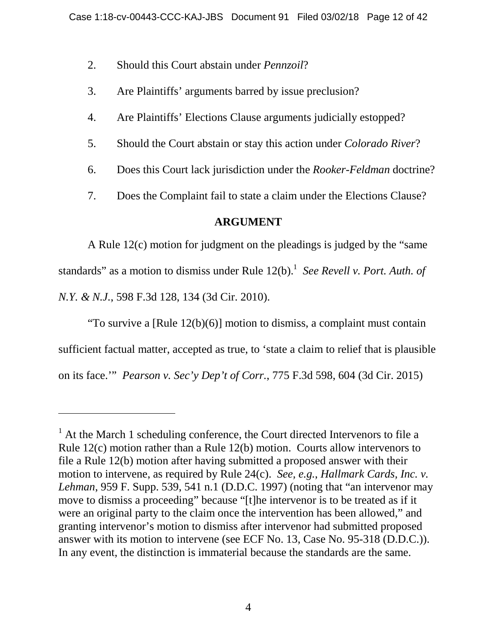- 2. Should this Court abstain under *Pennzoil*?
- 3. Are Plaintiffs' arguments barred by issue preclusion?
- 4. Are Plaintiffs' Elections Clause arguments judicially estopped?
- 5. Should the Court abstain or stay this action under *Colorado River*?
- 6. Does this Court lack jurisdiction under the *Rooker-Feldman* doctrine?
- 7. Does the Complaint fail to state a claim under the Elections Clause?

## **ARGUMENT**

A Rule 12(c) motion for judgment on the pleadings is judged by the "same standards" as a motion to dismiss under Rule 12(b).<sup>1</sup> See Revell v. Port. Auth. of *N.Y. & N.J.*, 598 F.3d 128, 134 (3d Cir. 2010).

"To survive a [Rule 12(b)(6)] motion to dismiss, a complaint must contain sufficient factual matter, accepted as true, to 'state a claim to relief that is plausible on its face.'" *Pearson v. Sec'y Dep't of Corr.*, 775 F.3d 598, 604 (3d Cir. 2015)

 $<sup>1</sup>$  At the March 1 scheduling conference, the Court directed Intervenors to file a</sup> Rule 12(c) motion rather than a Rule 12(b) motion. Courts allow intervenors to file a Rule 12(b) motion after having submitted a proposed answer with their motion to intervene, as required by Rule 24(c). *See, e.g.*, *Hallmark Cards, Inc. v. Lehman*, 959 F. Supp. 539, 541 n.1 (D.D.C. 1997) (noting that "an intervenor may move to dismiss a proceeding" because "[t]he intervenor is to be treated as if it were an original party to the claim once the intervention has been allowed," and granting intervenor's motion to dismiss after intervenor had submitted proposed answer with its motion to intervene (see ECF No. 13, Case No. 95-318 (D.D.C.)). In any event, the distinction is immaterial because the standards are the same.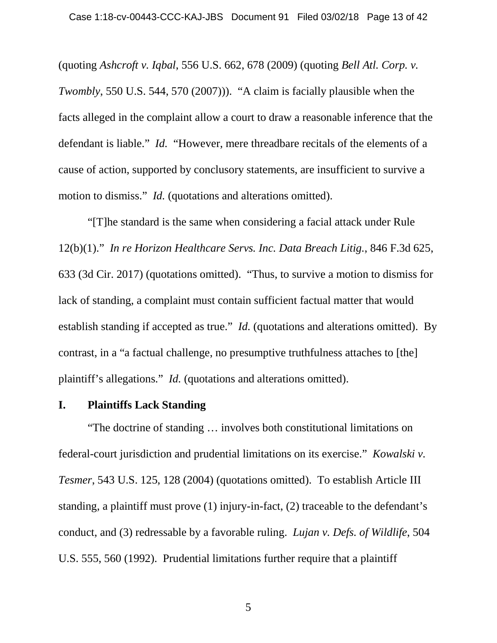(quoting *Ashcroft v. Iqbal*, 556 U.S. 662, 678 (2009) (quoting *Bell Atl. Corp. v. Twombly*, 550 U.S. 544, 570 (2007)). "A claim is facially plausible when the facts alleged in the complaint allow a court to draw a reasonable inference that the defendant is liable." *Id.* "However, mere threadbare recitals of the elements of a cause of action, supported by conclusory statements, are insufficient to survive a motion to dismiss." *Id.* (quotations and alterations omitted).

"[T]he standard is the same when considering a facial attack under Rule 12(b)(1)." *In re Horizon Healthcare Servs. Inc. Data Breach Litig.*, 846 F.3d 625, 633 (3d Cir. 2017) (quotations omitted). "Thus, to survive a motion to dismiss for lack of standing, a complaint must contain sufficient factual matter that would establish standing if accepted as true." *Id.* (quotations and alterations omitted). By contrast, in a "a factual challenge, no presumptive truthfulness attaches to [the] plaintiff's allegations." *Id.* (quotations and alterations omitted).

#### **I. Plaintiffs Lack Standing**

"The doctrine of standing … involves both constitutional limitations on federal-court jurisdiction and prudential limitations on its exercise." *Kowalski v. Tesmer*, 543 U.S. 125, 128 (2004) (quotations omitted). To establish Article III standing, a plaintiff must prove (1) injury-in-fact, (2) traceable to the defendant's conduct, and (3) redressable by a favorable ruling. *Lujan v. Defs. of Wildlife*, 504 U.S. 555, 560 (1992). Prudential limitations further require that a plaintiff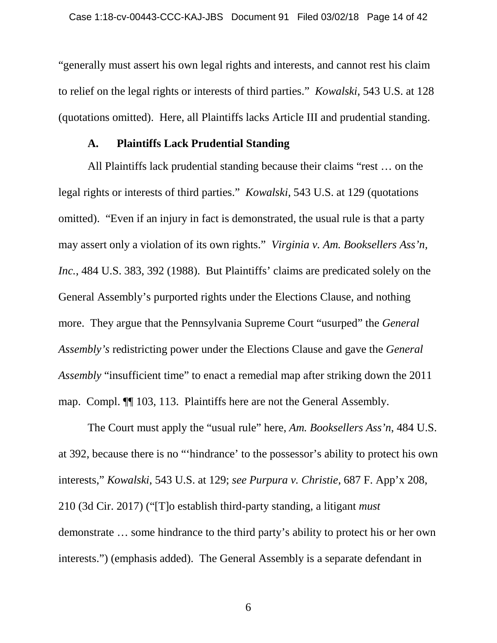"generally must assert his own legal rights and interests, and cannot rest his claim to relief on the legal rights or interests of third parties." *Kowalski*, 543 U.S. at 128 (quotations omitted). Here, all Plaintiffs lacks Article III and prudential standing.

#### **A. Plaintiffs Lack Prudential Standing**

All Plaintiffs lack prudential standing because their claims "rest … on the legal rights or interests of third parties." *Kowalski*, 543 U.S. at 129 (quotations omitted). "Even if an injury in fact is demonstrated, the usual rule is that a party may assert only a violation of its own rights." *Virginia v. Am. Booksellers Ass'n, Inc.*, 484 U.S. 383, 392 (1988). But Plaintiffs' claims are predicated solely on the General Assembly's purported rights under the Elections Clause, and nothing more. They argue that the Pennsylvania Supreme Court "usurped" the *General Assembly's* redistricting power under the Elections Clause and gave the *General Assembly* "insufficient time" to enact a remedial map after striking down the 2011 map. Compl. ¶¶ 103, 113. Plaintiffs here are not the General Assembly.

The Court must apply the "usual rule" here, *Am. Booksellers Ass'n*, 484 U.S. at 392, because there is no "'hindrance' to the possessor's ability to protect his own interests," *Kowalski*, 543 U.S. at 129; *see Purpura v. Christie*, 687 F. App'x 208, 210 (3d Cir. 2017) ("[T]o establish third-party standing, a litigant *must*  demonstrate … some hindrance to the third party's ability to protect his or her own interests.") (emphasis added). The General Assembly is a separate defendant in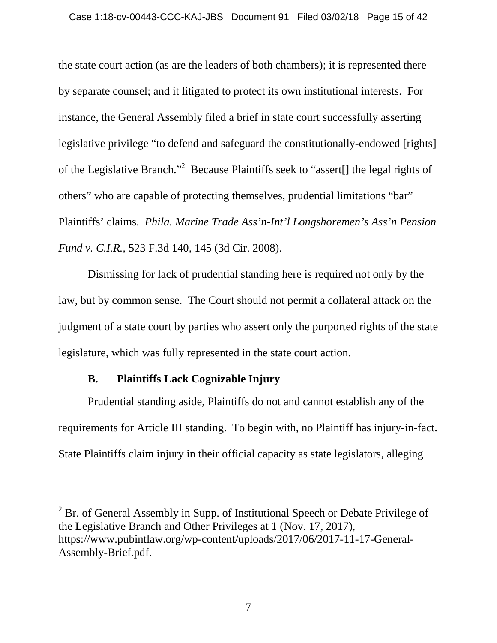the state court action (as are the leaders of both chambers); it is represented there by separate counsel; and it litigated to protect its own institutional interests. For instance, the General Assembly filed a brief in state court successfully asserting legislative privilege "to defend and safeguard the constitutionally-endowed [rights] of the Legislative Branch."<sup>2</sup> Because Plaintiffs seek to "assert[] the legal rights of others" who are capable of protecting themselves, prudential limitations "bar" Plaintiffs' claims. *Phila. Marine Trade Ass'n-Int'l Longshoremen's Ass'n Pension Fund v. C.I.R.*, 523 F.3d 140, 145 (3d Cir. 2008).

Dismissing for lack of prudential standing here is required not only by the law, but by common sense. The Court should not permit a collateral attack on the judgment of a state court by parties who assert only the purported rights of the state legislature, which was fully represented in the state court action.

## **B. Plaintiffs Lack Cognizable Injury**

Prudential standing aside, Plaintiffs do not and cannot establish any of the requirements for Article III standing. To begin with, no Plaintiff has injury-in-fact. State Plaintiffs claim injury in their official capacity as state legislators, alleging

 $2^2$  Br. of General Assembly in Supp. of Institutional Speech or Debate Privilege of the Legislative Branch and Other Privileges at 1 (Nov. 17, 2017), https://www.pubintlaw.org/wp-content/uploads/2017/06/2017-11-17-General-Assembly-Brief.pdf.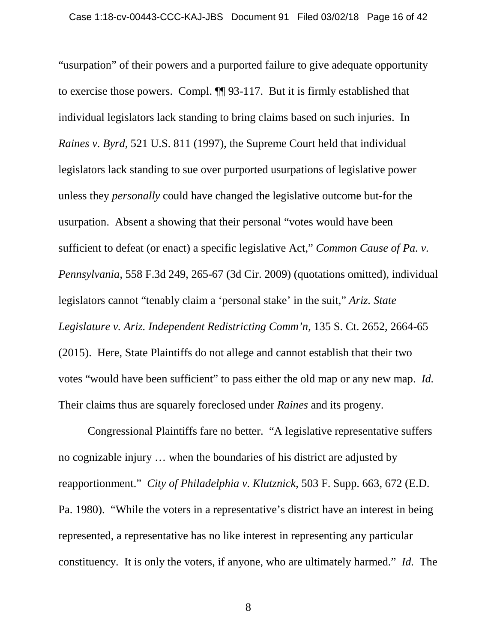"usurpation" of their powers and a purported failure to give adequate opportunity to exercise those powers. Compl. ¶¶ 93-117. But it is firmly established that individual legislators lack standing to bring claims based on such injuries. In *Raines v. Byrd*, 521 U.S. 811 (1997), the Supreme Court held that individual legislators lack standing to sue over purported usurpations of legislative power unless they *personally* could have changed the legislative outcome but-for the usurpation. Absent a showing that their personal "votes would have been sufficient to defeat (or enact) a specific legislative Act," *Common Cause of Pa. v. Pennsylvania*, 558 F.3d 249, 265-67 (3d Cir. 2009) (quotations omitted), individual legislators cannot "tenably claim a 'personal stake' in the suit," *Ariz. State Legislature v. Ariz. Independent Redistricting Comm'n*, 135 S. Ct. 2652, 2664-65 (2015). Here, State Plaintiffs do not allege and cannot establish that their two votes "would have been sufficient" to pass either the old map or any new map. *Id.* Their claims thus are squarely foreclosed under *Raines* and its progeny.

Congressional Plaintiffs fare no better. "A legislative representative suffers no cognizable injury … when the boundaries of his district are adjusted by reapportionment." *City of Philadelphia v. Klutznick*, 503 F. Supp. 663, 672 (E.D. Pa. 1980). "While the voters in a representative's district have an interest in being represented, a representative has no like interest in representing any particular constituency. It is only the voters, if anyone, who are ultimately harmed." *Id.* The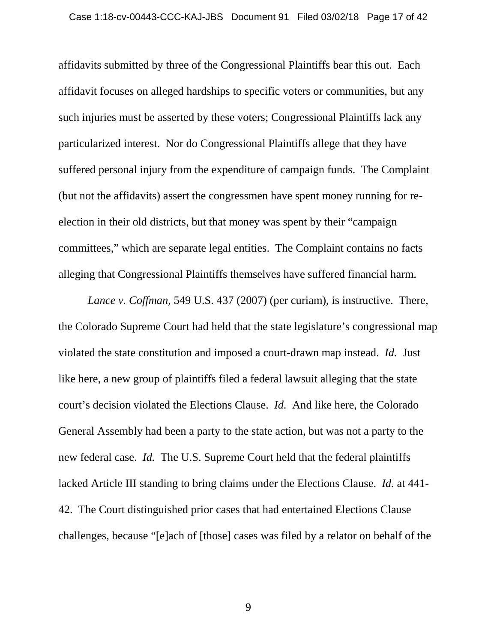affidavits submitted by three of the Congressional Plaintiffs bear this out. Each affidavit focuses on alleged hardships to specific voters or communities, but any such injuries must be asserted by these voters; Congressional Plaintiffs lack any particularized interest. Nor do Congressional Plaintiffs allege that they have suffered personal injury from the expenditure of campaign funds. The Complaint (but not the affidavits) assert the congressmen have spent money running for reelection in their old districts, but that money was spent by their "campaign committees," which are separate legal entities. The Complaint contains no facts alleging that Congressional Plaintiffs themselves have suffered financial harm.

*Lance v. Coffman*, 549 U.S. 437 (2007) (per curiam), is instructive. There, the Colorado Supreme Court had held that the state legislature's congressional map violated the state constitution and imposed a court-drawn map instead. *Id.* Just like here, a new group of plaintiffs filed a federal lawsuit alleging that the state court's decision violated the Elections Clause. *Id.* And like here, the Colorado General Assembly had been a party to the state action, but was not a party to the new federal case. *Id.* The U.S. Supreme Court held that the federal plaintiffs lacked Article III standing to bring claims under the Elections Clause. *Id.* at 441- 42. The Court distinguished prior cases that had entertained Elections Clause challenges, because "[e]ach of [those] cases was filed by a relator on behalf of the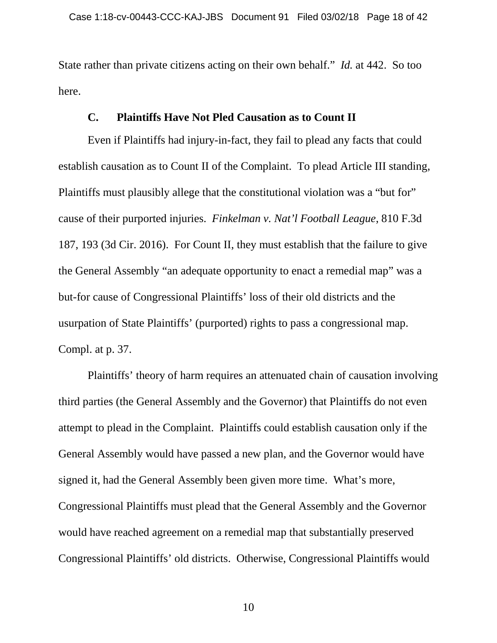State rather than private citizens acting on their own behalf." *Id.* at 442. So too here.

#### **C. Plaintiffs Have Not Pled Causation as to Count II**

Even if Plaintiffs had injury-in-fact, they fail to plead any facts that could establish causation as to Count II of the Complaint. To plead Article III standing, Plaintiffs must plausibly allege that the constitutional violation was a "but for" cause of their purported injuries. *Finkelman v. Nat'l Football League*, 810 F.3d 187, 193 (3d Cir. 2016). For Count II, they must establish that the failure to give the General Assembly "an adequate opportunity to enact a remedial map" was a but-for cause of Congressional Plaintiffs' loss of their old districts and the usurpation of State Plaintiffs' (purported) rights to pass a congressional map. Compl. at p. 37.

Plaintiffs' theory of harm requires an attenuated chain of causation involving third parties (the General Assembly and the Governor) that Plaintiffs do not even attempt to plead in the Complaint. Plaintiffs could establish causation only if the General Assembly would have passed a new plan, and the Governor would have signed it, had the General Assembly been given more time. What's more, Congressional Plaintiffs must plead that the General Assembly and the Governor would have reached agreement on a remedial map that substantially preserved Congressional Plaintiffs' old districts. Otherwise, Congressional Plaintiffs would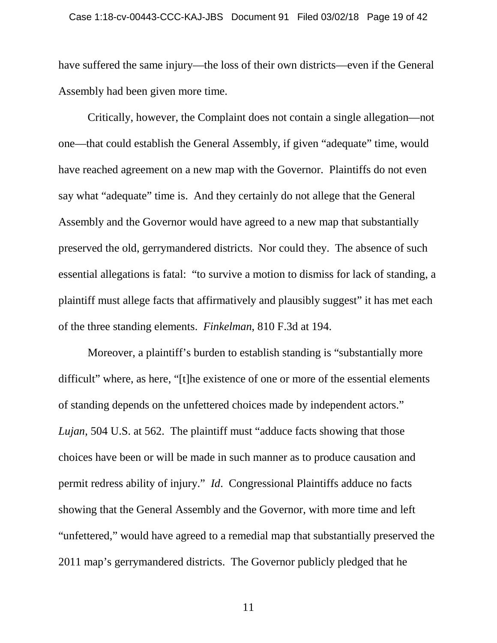have suffered the same injury—the loss of their own districts—even if the General Assembly had been given more time.

Critically, however, the Complaint does not contain a single allegation—not one—that could establish the General Assembly, if given "adequate" time, would have reached agreement on a new map with the Governor. Plaintiffs do not even say what "adequate" time is. And they certainly do not allege that the General Assembly and the Governor would have agreed to a new map that substantially preserved the old, gerrymandered districts. Nor could they. The absence of such essential allegations is fatal: "to survive a motion to dismiss for lack of standing, a plaintiff must allege facts that affirmatively and plausibly suggest" it has met each of the three standing elements. *Finkelman*, 810 F.3d at 194.

Moreover, a plaintiff's burden to establish standing is "substantially more difficult" where, as here, "[t]he existence of one or more of the essential elements of standing depends on the unfettered choices made by independent actors." *Lujan*, 504 U.S. at 562. The plaintiff must "adduce facts showing that those choices have been or will be made in such manner as to produce causation and permit redress ability of injury." *Id*. Congressional Plaintiffs adduce no facts showing that the General Assembly and the Governor, with more time and left "unfettered," would have agreed to a remedial map that substantially preserved the 2011 map's gerrymandered districts. The Governor publicly pledged that he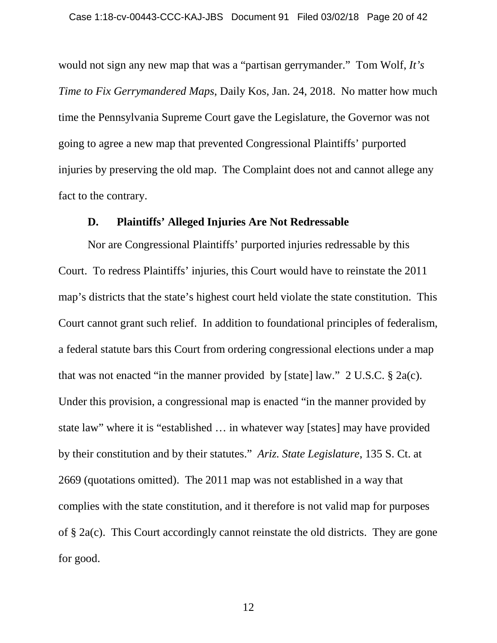would not sign any new map that was a "partisan gerrymander." Tom Wolf, *It's Time to Fix Gerrymandered Maps*, Daily Kos, Jan. 24, 2018. No matter how much time the Pennsylvania Supreme Court gave the Legislature, the Governor was not going to agree a new map that prevented Congressional Plaintiffs' purported injuries by preserving the old map. The Complaint does not and cannot allege any fact to the contrary.

#### **D. Plaintiffs' Alleged Injuries Are Not Redressable**

Nor are Congressional Plaintiffs' purported injuries redressable by this Court. To redress Plaintiffs' injuries, this Court would have to reinstate the 2011 map's districts that the state's highest court held violate the state constitution. This Court cannot grant such relief. In addition to foundational principles of federalism, a federal statute bars this Court from ordering congressional elections under a map that was not enacted "in the manner provided by [state] law."  $2 \text{ U.S.C.}$  § 2a(c). Under this provision, a congressional map is enacted "in the manner provided by state law" where it is "established … in whatever way [states] may have provided by their constitution and by their statutes." *Ariz. State Legislature*, 135 S. Ct. at 2669 (quotations omitted). The 2011 map was not established in a way that complies with the state constitution, and it therefore is not valid map for purposes of § 2a(c). This Court accordingly cannot reinstate the old districts. They are gone for good.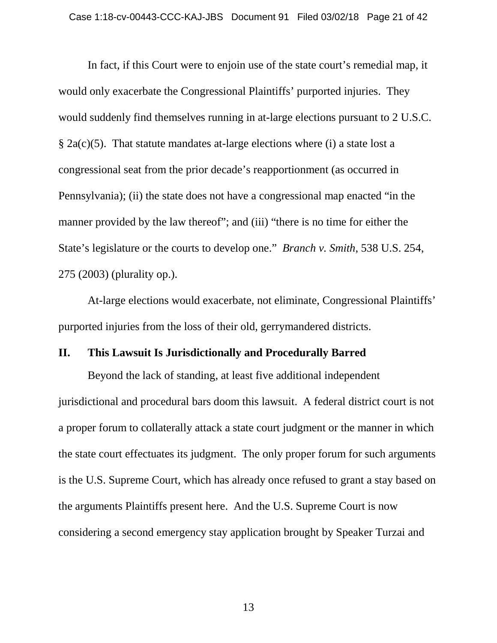In fact, if this Court were to enjoin use of the state court's remedial map, it would only exacerbate the Congressional Plaintiffs' purported injuries. They would suddenly find themselves running in at-large elections pursuant to 2 U.S.C. § 2a(c)(5). That statute mandates at-large elections where (i) a state lost a congressional seat from the prior decade's reapportionment (as occurred in Pennsylvania); (ii) the state does not have a congressional map enacted "in the manner provided by the law thereof"; and (iii) "there is no time for either the State's legislature or the courts to develop one." *Branch v. Smith*, 538 U.S. 254, 275 (2003) (plurality op.).

At-large elections would exacerbate, not eliminate, Congressional Plaintiffs' purported injuries from the loss of their old, gerrymandered districts.

#### **II. This Lawsuit Is Jurisdictionally and Procedurally Barred**

Beyond the lack of standing, at least five additional independent jurisdictional and procedural bars doom this lawsuit. A federal district court is not a proper forum to collaterally attack a state court judgment or the manner in which the state court effectuates its judgment. The only proper forum for such arguments is the U.S. Supreme Court, which has already once refused to grant a stay based on the arguments Plaintiffs present here. And the U.S. Supreme Court is now considering a second emergency stay application brought by Speaker Turzai and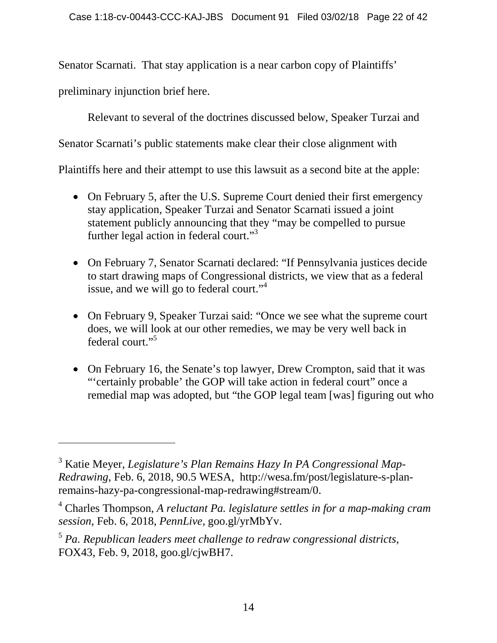Senator Scarnati. That stay application is a near carbon copy of Plaintiffs'

preliminary injunction brief here.

Relevant to several of the doctrines discussed below, Speaker Turzai and

Senator Scarnati's public statements make clear their close alignment with

Plaintiffs here and their attempt to use this lawsuit as a second bite at the apple:

- On February 5, after the U.S. Supreme Court denied their first emergency stay application, Speaker Turzai and Senator Scarnati issued a joint statement publicly announcing that they "may be compelled to pursue further legal action in federal court."<sup>3</sup>
- On February 7, Senator Scarnati declared: "If Pennsylvania justices decide to start drawing maps of Congressional districts, we view that as a federal issue, and we will go to federal court."<sup>4</sup>
- On February 9, Speaker Turzai said: "Once we see what the supreme court does, we will look at our other remedies, we may be very well back in federal court."<sup>5</sup>
- On February 16, the Senate's top lawyer, Drew Crompton, said that it was "'certainly probable' the GOP will take action in federal court" once a remedial map was adopted, but "the GOP legal team [was] figuring out who

<sup>3</sup> Katie Meyer, *Legislature's Plan Remains Hazy In PA Congressional Map-Redrawing*, Feb. 6, 2018, 90.5 WESA, http://wesa.fm/post/legislature-s-planremains-hazy-pa-congressional-map-redrawing#stream/0.

<sup>4</sup> Charles Thompson, *A reluctant Pa. legislature settles in for a map-making cram session*, Feb. 6, 2018, *PennLive*, goo.gl/yrMbYv.

<sup>5</sup> *Pa. Republican leaders meet challenge to redraw congressional districts*, FOX43, Feb. 9, 2018, goo.gl/cjwBH7.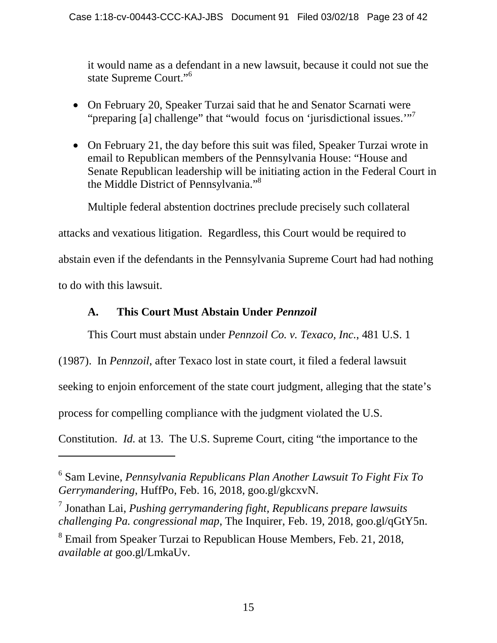it would name as a defendant in a new lawsuit, because it could not sue the state Supreme Court."<sup>6</sup>

- On February 20, Speaker Turzai said that he and Senator Scarnati were "preparing [a] challenge" that "would focus on 'jurisdictional issues."<sup>7</sup>
- On February 21, the day before this suit was filed, Speaker Turzai wrote in email to Republican members of the Pennsylvania House: "House and Senate Republican leadership will be initiating action in the Federal Court in the Middle District of Pennsylvania."<sup>8</sup>

Multiple federal abstention doctrines preclude precisely such collateral

attacks and vexatious litigation. Regardless, this Court would be required to

abstain even if the defendants in the Pennsylvania Supreme Court had had nothing

to do with this lawsuit.

## **A. This Court Must Abstain Under** *Pennzoil*

This Court must abstain under *Pennzoil Co. v. Texaco, Inc.*, 481 U.S. 1

(1987). In *Pennzoil*, after Texaco lost in state court, it filed a federal lawsuit

seeking to enjoin enforcement of the state court judgment, alleging that the state's

process for compelling compliance with the judgment violated the U.S.

Constitution. *Id.* at 13. The U.S. Supreme Court, citing "the importance to the

<sup>6</sup> Sam Levine, *Pennsylvania Republicans Plan Another Lawsuit To Fight Fix To Gerrymandering*, HuffPo, Feb. 16, 2018, goo.gl/gkcxvN.

<sup>7</sup> Jonathan Lai, *Pushing gerrymandering fight, Republicans prepare lawsuits challenging Pa. congressional map*, The Inquirer, Feb. 19, 2018, goo.gl/qGtY5n.

<sup>&</sup>lt;sup>8</sup> Email from Speaker Turzai to Republican House Members, Feb. 21, 2018, *available at* goo.gl/LmkaUv.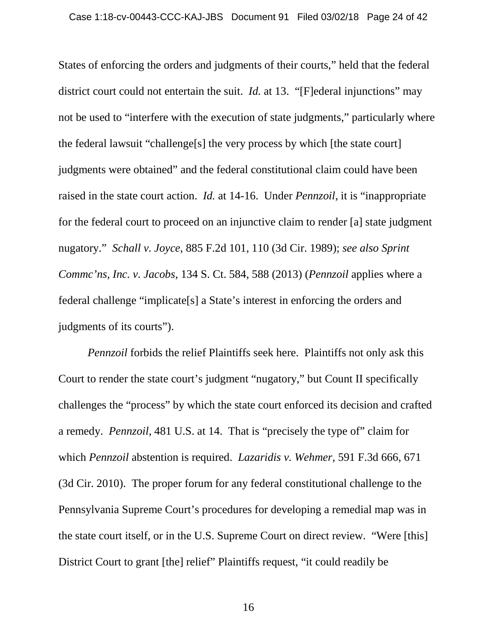States of enforcing the orders and judgments of their courts," held that the federal district court could not entertain the suit. *Id.* at 13. "[F]ederal injunctions" may not be used to "interfere with the execution of state judgments," particularly where the federal lawsuit "challenge[s] the very process by which [the state court] judgments were obtained" and the federal constitutional claim could have been raised in the state court action. *Id.* at 14-16. Under *Pennzoil*, it is "inappropriate for the federal court to proceed on an injunctive claim to render [a] state judgment nugatory." *Schall v. Joyce*, 885 F.2d 101, 110 (3d Cir. 1989); *see also Sprint Commc'ns, Inc. v. Jacobs*, 134 S. Ct. 584, 588 (2013) (*Pennzoil* applies where a federal challenge "implicate[s] a State's interest in enforcing the orders and judgments of its courts").

*Pennzoil* forbids the relief Plaintiffs seek here. Plaintiffs not only ask this Court to render the state court's judgment "nugatory," but Count II specifically challenges the "process" by which the state court enforced its decision and crafted a remedy. *Pennzoil*, 481 U.S. at 14. That is "precisely the type of" claim for which *Pennzoil* abstention is required. *Lazaridis v. Wehmer*, 591 F.3d 666, 671 (3d Cir. 2010). The proper forum for any federal constitutional challenge to the Pennsylvania Supreme Court's procedures for developing a remedial map was in the state court itself, or in the U.S. Supreme Court on direct review. "Were [this] District Court to grant [the] relief" Plaintiffs request, "it could readily be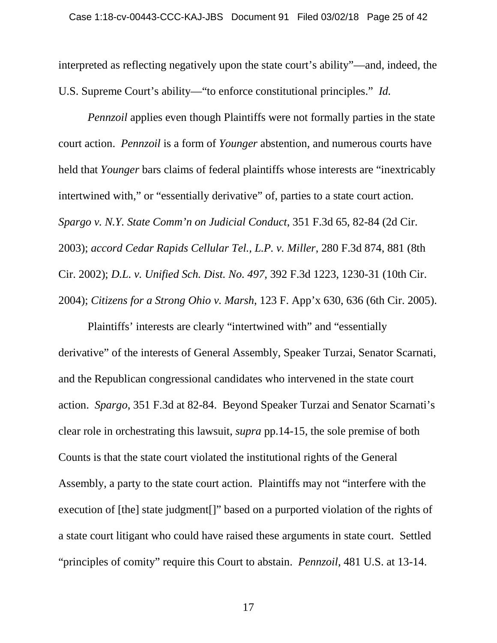interpreted as reflecting negatively upon the state court's ability"—and, indeed, the U.S. Supreme Court's ability—"to enforce constitutional principles." *Id.*

*Pennzoil* applies even though Plaintiffs were not formally parties in the state court action. *Pennzoil* is a form of *Younger* abstention, and numerous courts have held that *Younger* bars claims of federal plaintiffs whose interests are "inextricably intertwined with," or "essentially derivative" of, parties to a state court action. *Spargo v. N.Y. State Comm'n on Judicial Conduct*, 351 F.3d 65, 82-84 (2d Cir. 2003); *accord Cedar Rapids Cellular Tel., L.P. v. Miller*, 280 F.3d 874, 881 (8th Cir. 2002); *D.L. v. Unified Sch. Dist. No. 497*, 392 F.3d 1223, 1230-31 (10th Cir. 2004); *Citizens for a Strong Ohio v. Marsh*, 123 F. App'x 630, 636 (6th Cir. 2005).

Plaintiffs' interests are clearly "intertwined with" and "essentially derivative" of the interests of General Assembly, Speaker Turzai, Senator Scarnati, and the Republican congressional candidates who intervened in the state court action. *Spargo*, 351 F.3d at 82-84. Beyond Speaker Turzai and Senator Scarnati's clear role in orchestrating this lawsuit, *supra* pp.14-15, the sole premise of both Counts is that the state court violated the institutional rights of the General Assembly, a party to the state court action. Plaintiffs may not "interfere with the execution of [the] state judgment[]" based on a purported violation of the rights of a state court litigant who could have raised these arguments in state court. Settled "principles of comity" require this Court to abstain. *Pennzoil*, 481 U.S. at 13-14.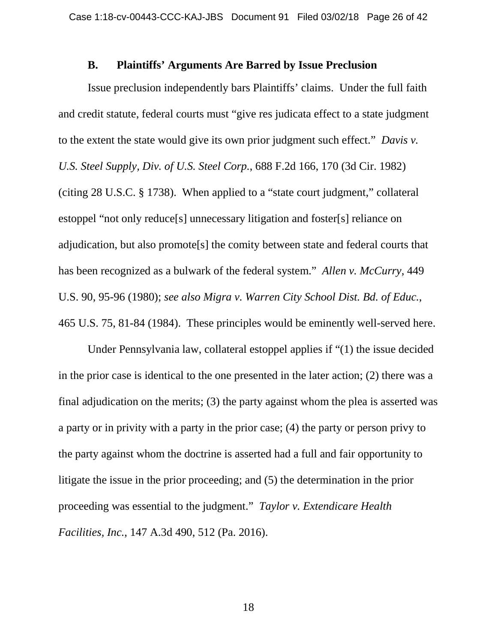#### **B. Plaintiffs' Arguments Are Barred by Issue Preclusion**

Issue preclusion independently bars Plaintiffs' claims. Under the full faith and credit statute, federal courts must "give res judicata effect to a state judgment to the extent the state would give its own prior judgment such effect." *Davis v. U.S. Steel Supply, Div. of U.S. Steel Corp.*, 688 F.2d 166, 170 (3d Cir. 1982) (citing 28 U.S.C. § 1738). When applied to a "state court judgment," collateral estoppel "not only reduce[s] unnecessary litigation and foster[s] reliance on adjudication, but also promote[s] the comity between state and federal courts that has been recognized as a bulwark of the federal system." *Allen v. McCurry*, 449 U.S. 90, 95-96 (1980); *see also Migra v. Warren City School Dist. Bd. of Educ.*, 465 U.S. 75, 81-84 (1984). These principles would be eminently well-served here.

Under Pennsylvania law, collateral estoppel applies if "(1) the issue decided in the prior case is identical to the one presented in the later action; (2) there was a final adjudication on the merits; (3) the party against whom the plea is asserted was a party or in privity with a party in the prior case; (4) the party or person privy to the party against whom the doctrine is asserted had a full and fair opportunity to litigate the issue in the prior proceeding; and (5) the determination in the prior proceeding was essential to the judgment." *Taylor v. Extendicare Health Facilities, Inc.*, 147 A.3d 490, 512 (Pa. 2016).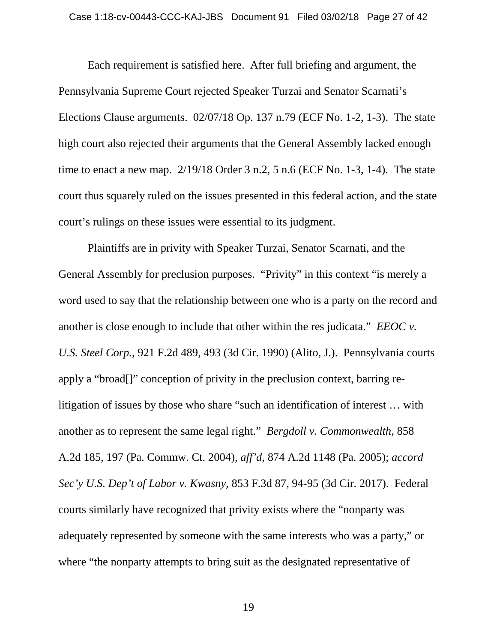Each requirement is satisfied here. After full briefing and argument, the Pennsylvania Supreme Court rejected Speaker Turzai and Senator Scarnati's Elections Clause arguments. 02/07/18 Op. 137 n.79 (ECF No. 1-2, 1-3). The state high court also rejected their arguments that the General Assembly lacked enough time to enact a new map. 2/19/18 Order 3 n.2, 5 n.6 (ECF No. 1-3, 1-4). The state court thus squarely ruled on the issues presented in this federal action, and the state court's rulings on these issues were essential to its judgment.

Plaintiffs are in privity with Speaker Turzai, Senator Scarnati, and the General Assembly for preclusion purposes. "Privity" in this context "is merely a word used to say that the relationship between one who is a party on the record and another is close enough to include that other within the res judicata." *EEOC v. U.S. Steel Corp.*, 921 F.2d 489, 493 (3d Cir. 1990) (Alito, J.). Pennsylvania courts apply a "broad[]" conception of privity in the preclusion context, barring relitigation of issues by those who share "such an identification of interest … with another as to represent the same legal right." *Bergdoll v. Commonwealth*, 858 A.2d 185, 197 (Pa. Commw. Ct. 2004), *aff'd*, 874 A.2d 1148 (Pa. 2005); *accord Sec'y U.S. Dep't of Labor v. Kwasny*, 853 F.3d 87, 94-95 (3d Cir. 2017). Federal courts similarly have recognized that privity exists where the "nonparty was adequately represented by someone with the same interests who was a party," or where "the nonparty attempts to bring suit as the designated representative of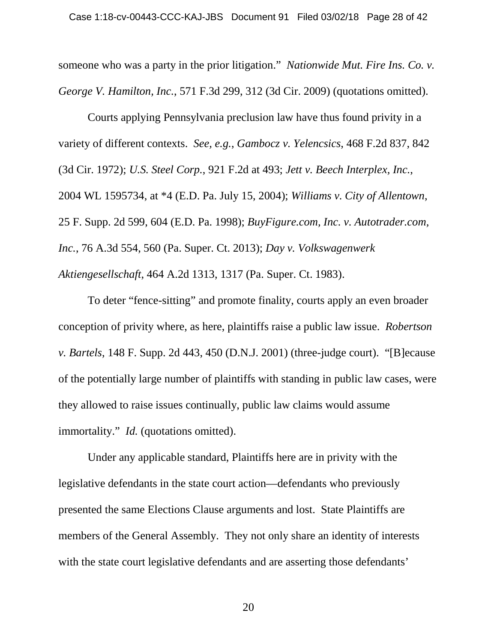someone who was a party in the prior litigation." *Nationwide Mut. Fire Ins. Co. v. George V. Hamilton, Inc.*, 571 F.3d 299, 312 (3d Cir. 2009) (quotations omitted).

Courts applying Pennsylvania preclusion law have thus found privity in a variety of different contexts. *See, e.g.*, *Gambocz v. Yelencsics*, 468 F.2d 837, 842 (3d Cir. 1972); *U.S. Steel Corp.*, 921 F.2d at 493; *Jett v. Beech Interplex, Inc.*, 2004 WL 1595734, at \*4 (E.D. Pa. July 15, 2004); *Williams v. City of Allentown*, 25 F. Supp. 2d 599, 604 (E.D. Pa. 1998); *BuyFigure.com, Inc. v. Autotrader.com, Inc.*, 76 A.3d 554, 560 (Pa. Super. Ct. 2013); *Day v. Volkswagenwerk Aktiengesellschaft*, 464 A.2d 1313, 1317 (Pa. Super. Ct. 1983).

To deter "fence-sitting" and promote finality, courts apply an even broader conception of privity where, as here, plaintiffs raise a public law issue. *Robertson v. Bartels*, 148 F. Supp. 2d 443, 450 (D.N.J. 2001) (three-judge court). "[B]ecause of the potentially large number of plaintiffs with standing in public law cases, were they allowed to raise issues continually, public law claims would assume immortality." *Id.* (quotations omitted).

Under any applicable standard, Plaintiffs here are in privity with the legislative defendants in the state court action—defendants who previously presented the same Elections Clause arguments and lost. State Plaintiffs are members of the General Assembly. They not only share an identity of interests with the state court legislative defendants and are asserting those defendants'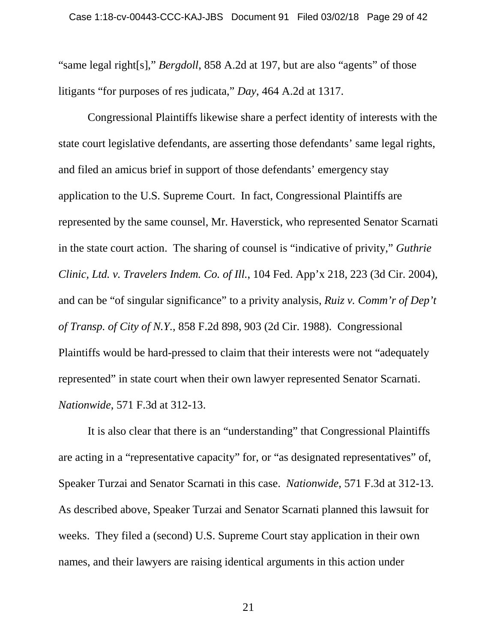"same legal right[s]," *Bergdoll*, 858 A.2d at 197, but are also "agents" of those litigants "for purposes of res judicata," *Day*, 464 A.2d at 1317.

Congressional Plaintiffs likewise share a perfect identity of interests with the state court legislative defendants, are asserting those defendants' same legal rights, and filed an amicus brief in support of those defendants' emergency stay application to the U.S. Supreme Court. In fact, Congressional Plaintiffs are represented by the same counsel, Mr. Haverstick, who represented Senator Scarnati in the state court action. The sharing of counsel is "indicative of privity," *Guthrie Clinic, Ltd. v. Travelers Indem. Co. of Ill.*, 104 Fed. App'x 218, 223 (3d Cir. 2004), and can be "of singular significance" to a privity analysis, *Ruiz v. Comm'r of Dep't of Transp. of City of N.Y.*, 858 F.2d 898, 903 (2d Cir. 1988). Congressional Plaintiffs would be hard-pressed to claim that their interests were not "adequately represented" in state court when their own lawyer represented Senator Scarnati. *Nationwide*, 571 F.3d at 312-13.

It is also clear that there is an "understanding" that Congressional Plaintiffs are acting in a "representative capacity" for, or "as designated representatives" of, Speaker Turzai and Senator Scarnati in this case. *Nationwide*, 571 F.3d at 312-13. As described above, Speaker Turzai and Senator Scarnati planned this lawsuit for weeks. They filed a (second) U.S. Supreme Court stay application in their own names, and their lawyers are raising identical arguments in this action under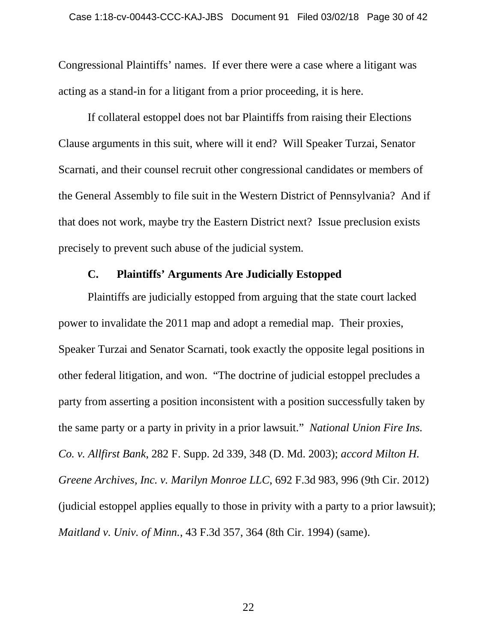Congressional Plaintiffs' names. If ever there were a case where a litigant was acting as a stand-in for a litigant from a prior proceeding, it is here.

If collateral estoppel does not bar Plaintiffs from raising their Elections Clause arguments in this suit, where will it end? Will Speaker Turzai, Senator Scarnati, and their counsel recruit other congressional candidates or members of the General Assembly to file suit in the Western District of Pennsylvania? And if that does not work, maybe try the Eastern District next? Issue preclusion exists precisely to prevent such abuse of the judicial system.

#### **C. Plaintiffs' Arguments Are Judicially Estopped**

Plaintiffs are judicially estopped from arguing that the state court lacked power to invalidate the 2011 map and adopt a remedial map. Their proxies, Speaker Turzai and Senator Scarnati, took exactly the opposite legal positions in other federal litigation, and won. "The doctrine of judicial estoppel precludes a party from asserting a position inconsistent with a position successfully taken by the same party or a party in privity in a prior lawsuit." *National Union Fire Ins. Co. v. Allfirst Bank*, 282 F. Supp. 2d 339, 348 (D. Md. 2003); *accord Milton H. Greene Archives, Inc. v. Marilyn Monroe LLC*, 692 F.3d 983, 996 (9th Cir. 2012) (judicial estoppel applies equally to those in privity with a party to a prior lawsuit); *Maitland v. Univ. of Minn.*, 43 F.3d 357, 364 (8th Cir. 1994) (same).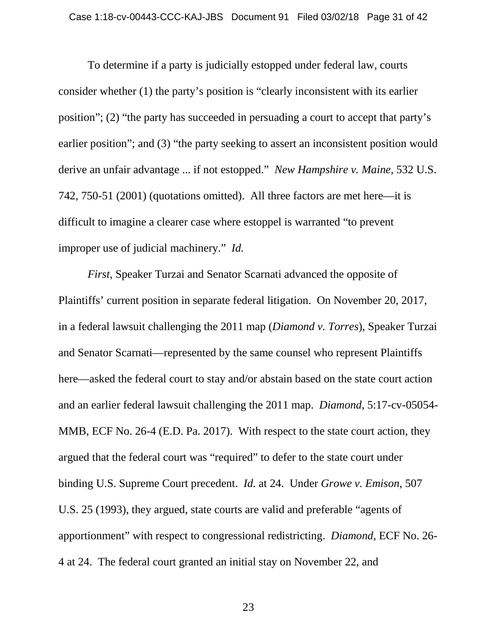To determine if a party is judicially estopped under federal law, courts consider whether (1) the party's position is "clearly inconsistent with its earlier position"; (2) "the party has succeeded in persuading a court to accept that party's earlier position"; and (3) "the party seeking to assert an inconsistent position would derive an unfair advantage ... if not estopped." *New Hampshire v. Maine*, 532 U.S. 742, 750-51 (2001) (quotations omitted). All three factors are met here—it is difficult to imagine a clearer case where estoppel is warranted "to prevent improper use of judicial machinery." *Id.*

*First*, Speaker Turzai and Senator Scarnati advanced the opposite of Plaintiffs' current position in separate federal litigation. On November 20, 2017, in a federal lawsuit challenging the 2011 map (*Diamond v. Torres*), Speaker Turzai and Senator Scarnati—represented by the same counsel who represent Plaintiffs here—asked the federal court to stay and/or abstain based on the state court action and an earlier federal lawsuit challenging the 2011 map. *Diamond*, 5:17-cv-05054- MMB, ECF No. 26-4 (E.D. Pa. 2017). With respect to the state court action, they argued that the federal court was "required" to defer to the state court under binding U.S. Supreme Court precedent. *Id.* at 24. Under *Growe v. Emison*, 507 U.S. 25 (1993), they argued, state courts are valid and preferable "agents of apportionment" with respect to congressional redistricting. *Diamond*, ECF No. 26- 4 at 24. The federal court granted an initial stay on November 22, and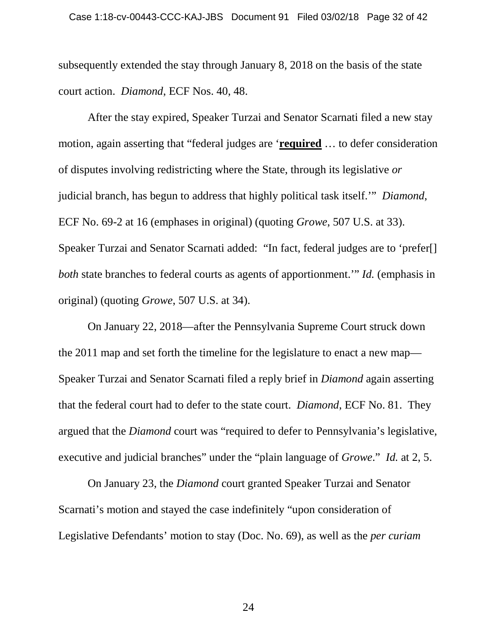subsequently extended the stay through January 8, 2018 on the basis of the state court action. *Diamond*, ECF Nos. 40, 48.

After the stay expired, Speaker Turzai and Senator Scarnati filed a new stay motion, again asserting that "federal judges are '**required** … to defer consideration of disputes involving redistricting where the State, through its legislative *or* judicial branch, has begun to address that highly political task itself.'" *Diamond*, ECF No. 69-2 at 16 (emphases in original) (quoting *Growe*, 507 U.S. at 33). Speaker Turzai and Senator Scarnati added: "In fact, federal judges are to 'prefer[] *both* state branches to federal courts as agents of apportionment.'" *Id.* (emphasis in original) (quoting *Growe*, 507 U.S. at 34).

On January 22, 2018—after the Pennsylvania Supreme Court struck down the 2011 map and set forth the timeline for the legislature to enact a new map— Speaker Turzai and Senator Scarnati filed a reply brief in *Diamond* again asserting that the federal court had to defer to the state court. *Diamond*, ECF No. 81. They argued that the *Diamond* court was "required to defer to Pennsylvania's legislative, executive and judicial branches" under the "plain language of *Growe*." *Id.* at 2, 5.

On January 23, the *Diamond* court granted Speaker Turzai and Senator Scarnati's motion and stayed the case indefinitely "upon consideration of Legislative Defendants' motion to stay (Doc. No. 69), as well as the *per curiam*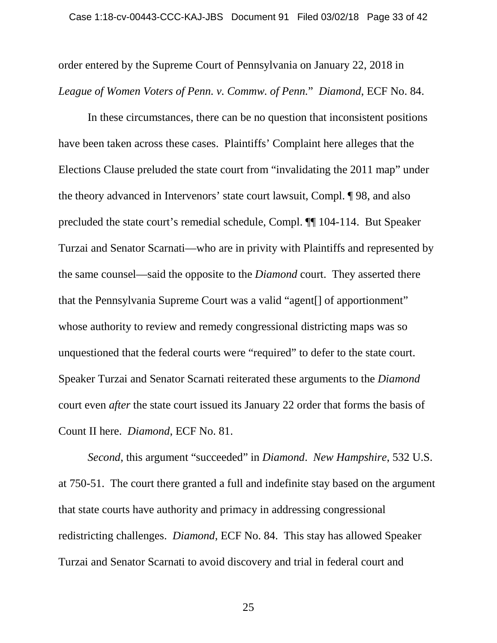order entered by the Supreme Court of Pennsylvania on January 22, 2018 in *League of Women Voters of Penn. v. Commw. of Penn.*" *Diamond*, ECF No. 84.

In these circumstances, there can be no question that inconsistent positions have been taken across these cases. Plaintiffs' Complaint here alleges that the Elections Clause preluded the state court from "invalidating the 2011 map" under the theory advanced in Intervenors' state court lawsuit, Compl. ¶ 98, and also precluded the state court's remedial schedule, Compl. ¶¶ 104-114. But Speaker Turzai and Senator Scarnati—who are in privity with Plaintiffs and represented by the same counsel—said the opposite to the *Diamond* court. They asserted there that the Pennsylvania Supreme Court was a valid "agent[] of apportionment" whose authority to review and remedy congressional districting maps was so unquestioned that the federal courts were "required" to defer to the state court. Speaker Turzai and Senator Scarnati reiterated these arguments to the *Diamond* court even *after* the state court issued its January 22 order that forms the basis of Count II here. *Diamond*, ECF No. 81.

*Second*, this argument "succeeded" in *Diamond*. *New Hampshire*, 532 U.S. at 750-51. The court there granted a full and indefinite stay based on the argument that state courts have authority and primacy in addressing congressional redistricting challenges. *Diamond*, ECF No. 84. This stay has allowed Speaker Turzai and Senator Scarnati to avoid discovery and trial in federal court and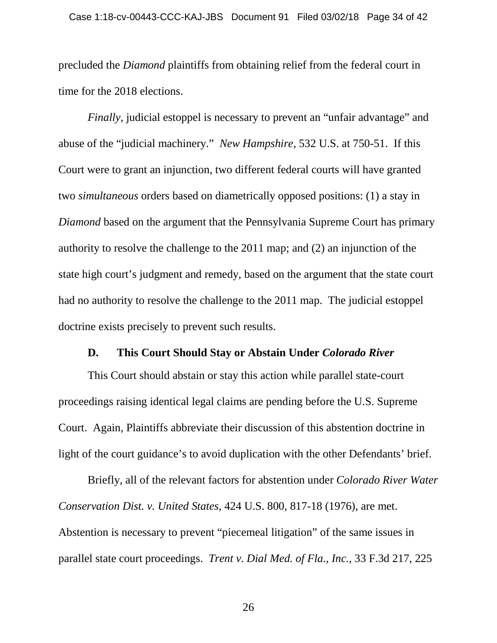precluded the *Diamond* plaintiffs from obtaining relief from the federal court in time for the 2018 elections.

*Finally*, judicial estoppel is necessary to prevent an "unfair advantage" and abuse of the "judicial machinery." *New Hampshire*, 532 U.S. at 750-51. If this Court were to grant an injunction, two different federal courts will have granted two *simultaneous* orders based on diametrically opposed positions: (1) a stay in *Diamond* based on the argument that the Pennsylvania Supreme Court has primary authority to resolve the challenge to the 2011 map; and (2) an injunction of the state high court's judgment and remedy, based on the argument that the state court had no authority to resolve the challenge to the 2011 map. The judicial estoppel doctrine exists precisely to prevent such results.

#### **D. This Court Should Stay or Abstain Under** *Colorado River*

This Court should abstain or stay this action while parallel state-court proceedings raising identical legal claims are pending before the U.S. Supreme Court. Again, Plaintiffs abbreviate their discussion of this abstention doctrine in light of the court guidance's to avoid duplication with the other Defendants' brief.

Briefly, all of the relevant factors for abstention under *Colorado River Water Conservation Dist. v. United States*, 424 U.S. 800, 817-18 (1976), are met. Abstention is necessary to prevent "piecemeal litigation" of the same issues in parallel state court proceedings. *Trent v. Dial Med. of Fla., Inc.*, 33 F.3d 217, 225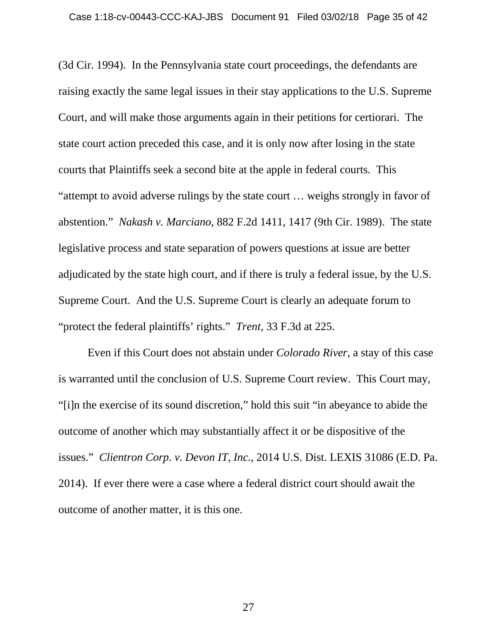(3d Cir. 1994). In the Pennsylvania state court proceedings, the defendants are raising exactly the same legal issues in their stay applications to the U.S. Supreme Court, and will make those arguments again in their petitions for certiorari. The state court action preceded this case, and it is only now after losing in the state courts that Plaintiffs seek a second bite at the apple in federal courts. This "attempt to avoid adverse rulings by the state court … weighs strongly in favor of abstention." *Nakash v. Marciano*, 882 F.2d 1411, 1417 (9th Cir. 1989). The state legislative process and state separation of powers questions at issue are better adjudicated by the state high court, and if there is truly a federal issue, by the U.S. Supreme Court. And the U.S. Supreme Court is clearly an adequate forum to "protect the federal plaintiffs' rights." *Trent*, 33 F.3d at 225.

Even if this Court does not abstain under *Colorado River*, a stay of this case is warranted until the conclusion of U.S. Supreme Court review. This Court may, "[i]n the exercise of its sound discretion," hold this suit "in abeyance to abide the outcome of another which may substantially affect it or be dispositive of the issues." *Clientron Corp. v. Devon IT*, *Inc.*, 2014 U.S. Dist. LEXIS 31086 (E.D. Pa. 2014). If ever there were a case where a federal district court should await the outcome of another matter, it is this one.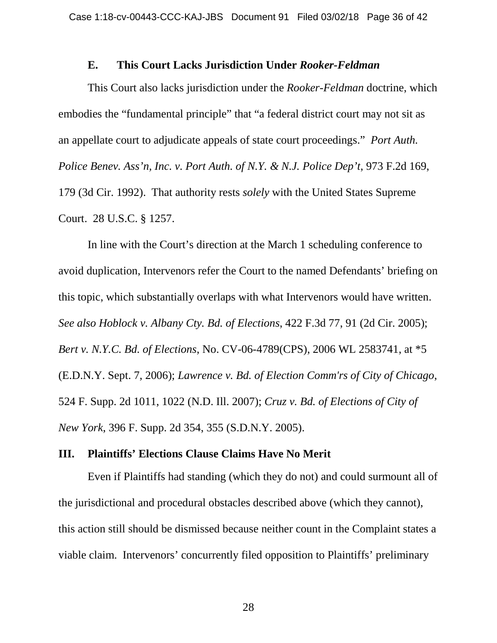#### **E. This Court Lacks Jurisdiction Under** *Rooker-Feldman*

This Court also lacks jurisdiction under the *Rooker-Feldman* doctrine, which embodies the "fundamental principle" that "a federal district court may not sit as an appellate court to adjudicate appeals of state court proceedings." *Port Auth. Police Benev. Ass'n, Inc. v. Port Auth. of N.Y. & N.J. Police Dep't*, 973 F.2d 169, 179 (3d Cir. 1992). That authority rests *solely* with the United States Supreme Court. 28 U.S.C. § 1257.

In line with the Court's direction at the March 1 scheduling conference to avoid duplication, Intervenors refer the Court to the named Defendants' briefing on this topic, which substantially overlaps with what Intervenors would have written. *See also Hoblock v. Albany Cty. Bd. of Elections*, 422 F.3d 77, 91 (2d Cir. 2005); *Bert v. N.Y.C. Bd. of Elections*, No. CV-06-4789(CPS), 2006 WL 2583741, at \*5 (E.D.N.Y. Sept. 7, 2006); *Lawrence v. Bd. of Election Comm'rs of City of Chicago*, 524 F. Supp. 2d 1011, 1022 (N.D. Ill. 2007); *Cruz v. Bd. of Elections of City of New York*, 396 F. Supp. 2d 354, 355 (S.D.N.Y. 2005).

#### **III. Plaintiffs' Elections Clause Claims Have No Merit**

Even if Plaintiffs had standing (which they do not) and could surmount all of the jurisdictional and procedural obstacles described above (which they cannot), this action still should be dismissed because neither count in the Complaint states a viable claim. Intervenors' concurrently filed opposition to Plaintiffs' preliminary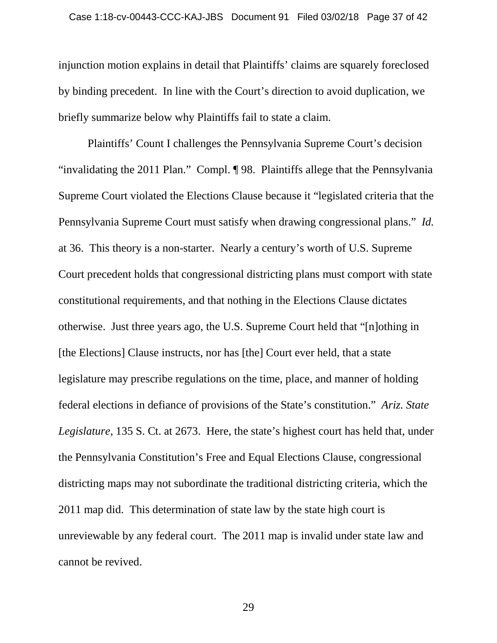injunction motion explains in detail that Plaintiffs' claims are squarely foreclosed by binding precedent. In line with the Court's direction to avoid duplication, we briefly summarize below why Plaintiffs fail to state a claim.

Plaintiffs' Count I challenges the Pennsylvania Supreme Court's decision "invalidating the 2011 Plan." Compl. ¶ 98. Plaintiffs allege that the Pennsylvania Supreme Court violated the Elections Clause because it "legislated criteria that the Pennsylvania Supreme Court must satisfy when drawing congressional plans." *Id.* at 36. This theory is a non-starter. Nearly a century's worth of U.S. Supreme Court precedent holds that congressional districting plans must comport with state constitutional requirements, and that nothing in the Elections Clause dictates otherwise. Just three years ago, the U.S. Supreme Court held that "[n]othing in [the Elections] Clause instructs, nor has [the] Court ever held, that a state legislature may prescribe regulations on the time, place, and manner of holding federal elections in defiance of provisions of the State's constitution." *Ariz. State Legislature*, 135 S. Ct. at 2673. Here, the state's highest court has held that, under the Pennsylvania Constitution's Free and Equal Elections Clause, congressional districting maps may not subordinate the traditional districting criteria, which the 2011 map did. This determination of state law by the state high court is unreviewable by any federal court. The 2011 map is invalid under state law and cannot be revived.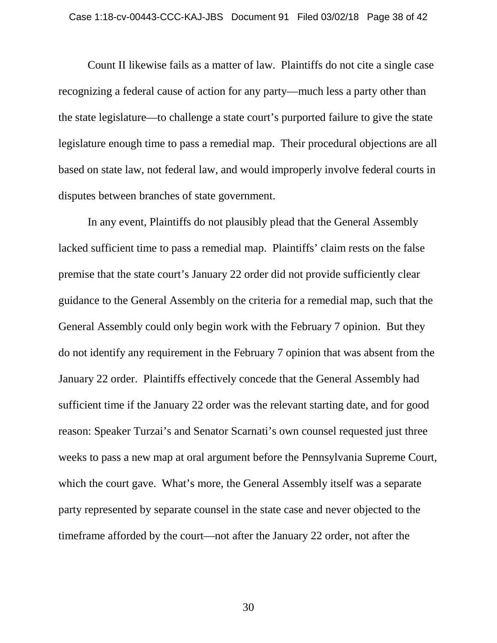Count II likewise fails as a matter of law. Plaintiffs do not cite a single case recognizing a federal cause of action for any party—much less a party other than the state legislature—to challenge a state court's purported failure to give the state legislature enough time to pass a remedial map. Their procedural objections are all based on state law, not federal law, and would improperly involve federal courts in disputes between branches of state government.

In any event, Plaintiffs do not plausibly plead that the General Assembly lacked sufficient time to pass a remedial map. Plaintiffs' claim rests on the false premise that the state court's January 22 order did not provide sufficiently clear guidance to the General Assembly on the criteria for a remedial map, such that the General Assembly could only begin work with the February 7 opinion. But they do not identify any requirement in the February 7 opinion that was absent from the January 22 order. Plaintiffs effectively concede that the General Assembly had sufficient time if the January 22 order was the relevant starting date, and for good reason: Speaker Turzai's and Senator Scarnati's own counsel requested just three weeks to pass a new map at oral argument before the Pennsylvania Supreme Court, which the court gave. What's more, the General Assembly itself was a separate party represented by separate counsel in the state case and never objected to the timeframe afforded by the court—not after the January 22 order, not after the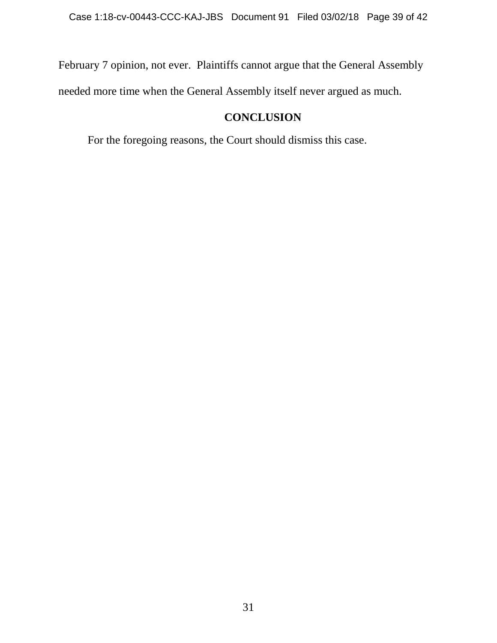February 7 opinion, not ever. Plaintiffs cannot argue that the General Assembly needed more time when the General Assembly itself never argued as much.

## **CONCLUSION**

For the foregoing reasons, the Court should dismiss this case.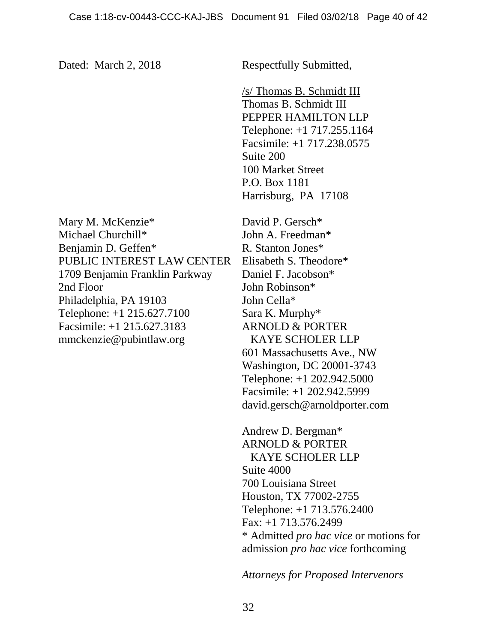Dated: March 2, 2018 Respectfully Submitted,

/s/ Thomas B. Schmidt III Thomas B. Schmidt III PEPPER HAMILTON LLP Telephone: +1 717.255.1164 Facsimile: +1 717.238.0575 Suite 200 100 Market Street P.O. Box 1181 Harrisburg, PA 17108

Mary M. McKenzie\* Michael Churchill\* Benjamin D. Geffen\* PUBLIC INTEREST LAW CENTER 1709 Benjamin Franklin Parkway 2nd Floor Philadelphia, PA 19103 Telephone: +1 215.627.7100 Facsimile: +1 215.627.3183 mmckenzie@pubintlaw.org

David P. Gersch\* John A. Freedman\* R. Stanton Jones\* Elisabeth S. Theodore\* Daniel F. Jacobson\* John Robinson\* John Cella\* Sara K. Murphy\* ARNOLD & PORTER KAYE SCHOLER LLP 601 Massachusetts Ave., NW Washington, DC 20001-3743 Telephone: +1 202.942.5000 Facsimile: +1 202.942.5999 david.gersch@arnoldporter.com

Andrew D. Bergman\* ARNOLD & PORTER KAYE SCHOLER LLP Suite 4000 700 Louisiana Street Houston, TX 77002-2755 Telephone: +1 713.576.2400 Fax: +1 713.576.2499 \* Admitted *pro hac vice* or motions for admission *pro hac vice* forthcoming

*Attorneys for Proposed Intervenors*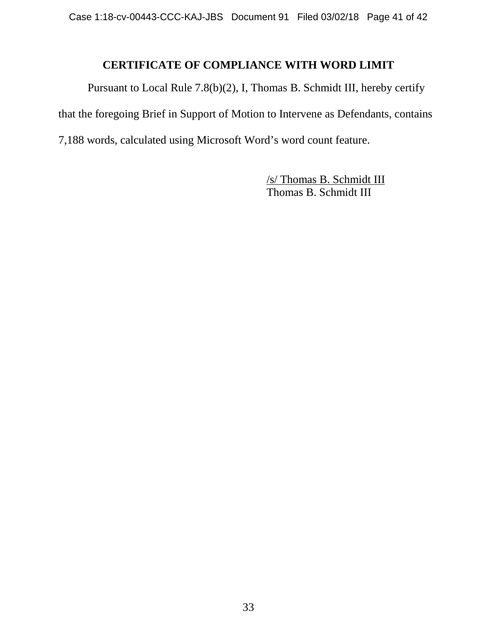## **CERTIFICATE OF COMPLIANCE WITH WORD LIMIT**

Pursuant to Local Rule 7.8(b)(2), I, Thomas B. Schmidt III, hereby certify that the foregoing Brief in Support of Motion to Intervene as Defendants, contains 7,188 words, calculated using Microsoft Word's word count feature.

> /s/ Thomas B. Schmidt III Thomas B. Schmidt III